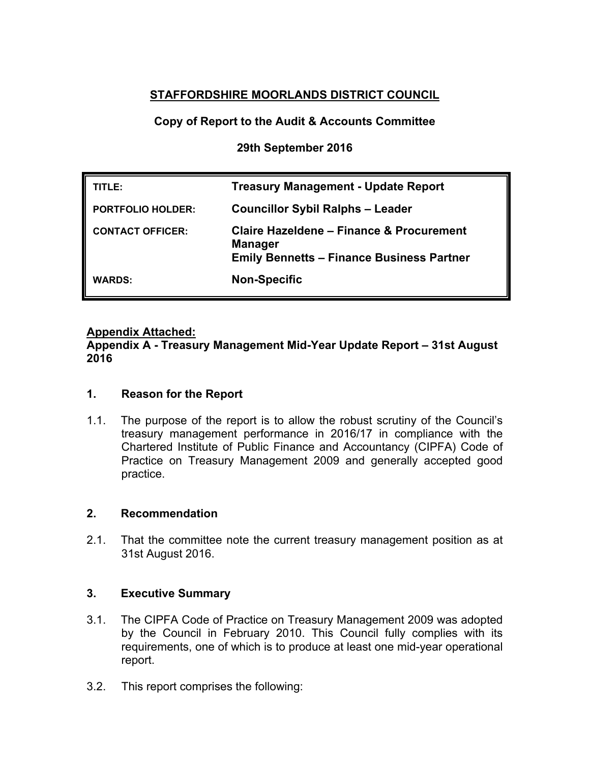# **STAFFORDSHIRE MOORLANDS DISTRICT COUNCIL**

## **Copy of Report to the Audit & Accounts Committee**

### **29th September 2016**

| TITLE:                   | <b>Treasury Management - Update Report</b>                                                                                |
|--------------------------|---------------------------------------------------------------------------------------------------------------------------|
| <b>PORTFOLIO HOLDER:</b> | <b>Councillor Sybil Ralphs - Leader</b>                                                                                   |
| <b>CONTACT OFFICER:</b>  | <b>Claire Hazeldene - Finance &amp; Procurement</b><br><b>Manager</b><br><b>Emily Bennetts - Finance Business Partner</b> |
| <b>WARDS:</b>            | <b>Non-Specific</b>                                                                                                       |

### **Appendix Attached:**

**Appendix A - Treasury Management Mid-Year Update Report – 31st August 2016**

### **1. Reason for the Report**

1.1. The purpose of the report is to allow the robust scrutiny of the Council's treasury management performance in 2016/17 in compliance with the Chartered Institute of Public Finance and Accountancy (CIPFA) Code of Practice on Treasury Management 2009 and generally accepted good practice.

### **2. Recommendation**

2.1. That the committee note the current treasury management position as at 31st August 2016.

### **3. Executive Summary**

- 3.1. The CIPFA Code of Practice on Treasury Management 2009 was adopted by the Council in February 2010. This Council fully complies with its requirements, one of which is to produce at least one mid-year operational report.
- 3.2. This report comprises the following: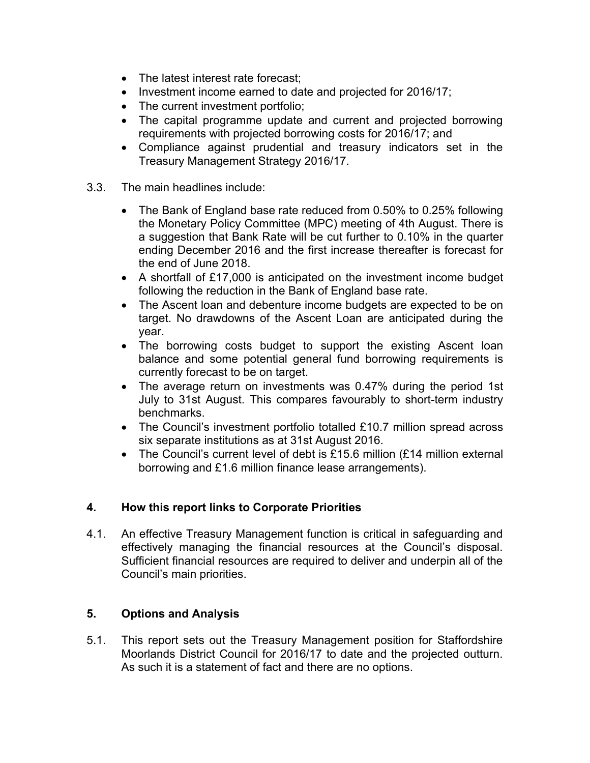- The latest interest rate forecast;
- Investment income earned to date and projected for 2016/17;
- The current investment portfolio;
- The capital programme update and current and projected borrowing requirements with projected borrowing costs for 2016/17; and
- Compliance against prudential and treasury indicators set in the Treasury Management Strategy 2016/17.
- 3.3. The main headlines include:
	- The Bank of England base rate reduced from 0.50% to 0.25% following the Monetary Policy Committee (MPC) meeting of 4th August. There is a suggestion that Bank Rate will be cut further to 0.10% in the quarter ending December 2016 and the first increase thereafter is forecast for the end of June 2018.
	- A shortfall of £17,000 is anticipated on the investment income budget following the reduction in the Bank of England base rate.
	- The Ascent loan and debenture income budgets are expected to be on target. No drawdowns of the Ascent Loan are anticipated during the year.
	- The borrowing costs budget to support the existing Ascent loan balance and some potential general fund borrowing requirements is currently forecast to be on target.
	- The average return on investments was 0.47% during the period 1st July to 31st August. This compares favourably to short-term industry benchmarks.
	- The Council's investment portfolio totalled £10.7 million spread across six separate institutions as at 31st August 2016.
	- The Council's current level of debt is £15.6 million (£14 million external borrowing and £1.6 million finance lease arrangements).

## **4. How this report links to Corporate Priorities**

4.1. An effective Treasury Management function is critical in safeguarding and effectively managing the financial resources at the Council's disposal. Sufficient financial resources are required to deliver and underpin all of the Council's main priorities.

### **5. Options and Analysis**

5.1. This report sets out the Treasury Management position for Staffordshire Moorlands District Council for 2016/17 to date and the projected outturn. As such it is a statement of fact and there are no options.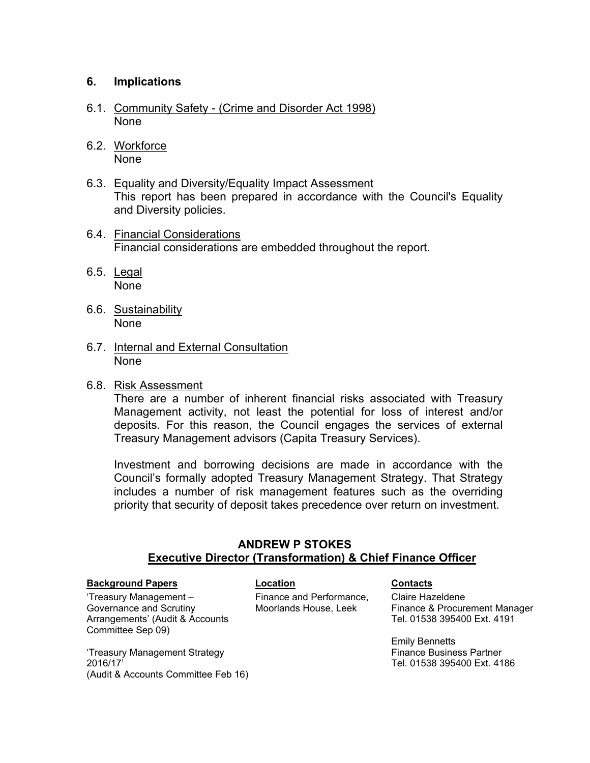### **6. Implications**

- 6.1. Community Safety (Crime and Disorder Act 1998) None
- 6.2. Workforce None
- 6.3. Equality and Diversity/Equality Impact Assessment This report has been prepared in accordance with the Council's Equality and Diversity policies.
- 6.4. Financial Considerations Financial considerations are embedded throughout the report.
- 6.5. Legal None
- 6.6. Sustainability None
- 6.7. Internal and External Consultation None
- 6.8. Risk Assessment

There are a number of inherent financial risks associated with Treasury Management activity, not least the potential for loss of interest and/or deposits. For this reason, the Council engages the services of external Treasury Management advisors (Capita Treasury Services).

Investment and borrowing decisions are made in accordance with the Council's formally adopted Treasury Management Strategy. That Strategy includes a number of risk management features such as the overriding priority that security of deposit takes precedence over return on investment.

### **ANDREW P STOKES Executive Director (Transformation) & Chief Finance Officer**

#### **Background Papers Contacts Location Contacts**

Committee Sep 09)

'Treasury Management – Governance and Scrutiny

Arrangements' (Audit & Accounts Finance and Performance, Moorlands House, Leek

Claire Hazeldene Finance & Procurement Manager Tel. 01538 395400 Ext. 4191

Emily Bennetts Finance Business Partner Tel. 01538 395400 Ext. 4186

'Treasury Management Strategy 2016/17' (Audit & Accounts Committee Feb 16)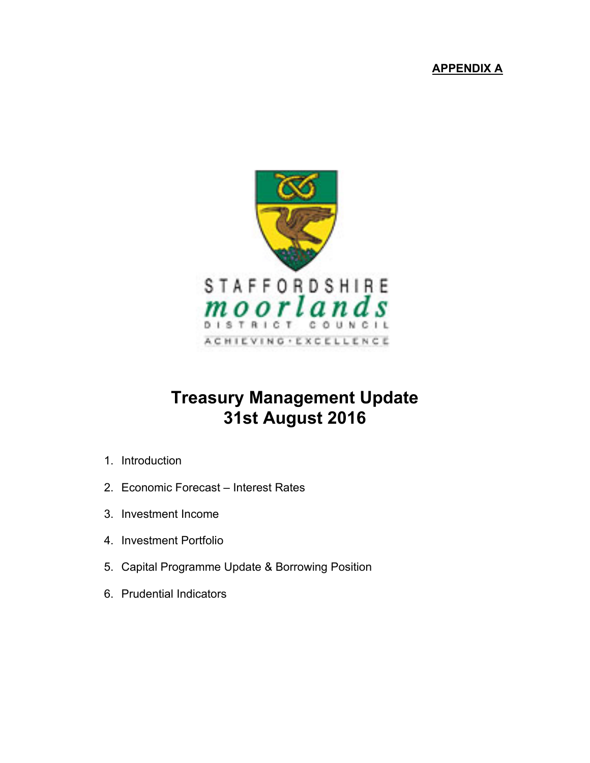# **APPENDIX A**



# **Treasury Management Update 31st August 2016**

- 1. Introduction
- 2. Economic Forecast Interest Rates
- 3. Investment Income
- 4. Investment Portfolio
- 5. Capital Programme Update & Borrowing Position
- 6. Prudential Indicators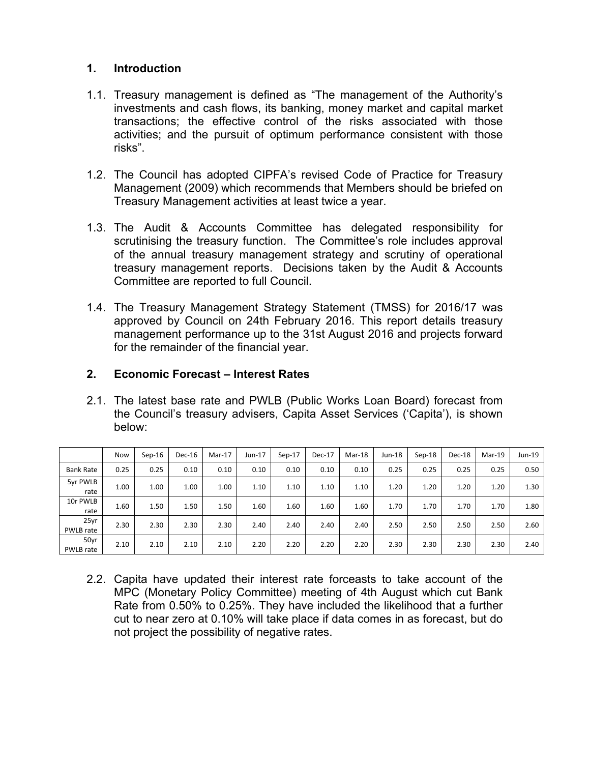### **1. Introduction**

- 1.1. Treasury management is defined as "The management of the Authority's investments and cash flows, its banking, money market and capital market transactions; the effective control of the risks associated with those activities; and the pursuit of optimum performance consistent with those risks".
- 1.2. The Council has adopted CIPFA's revised Code of Practice for Treasury Management (2009) which recommends that Members should be briefed on Treasury Management activities at least twice a year.
- 1.3. The Audit & Accounts Committee has delegated responsibility for scrutinising the treasury function. The Committee's role includes approval of the annual treasury management strategy and scrutiny of operational treasury management reports. Decisions taken by the Audit & Accounts Committee are reported to full Council.
- 1.4. The Treasury Management Strategy Statement (TMSS) for 2016/17 was approved by Council on 24th February 2016. This report details treasury management performance up to the 31st August 2016 and projects forward for the remainder of the financial year.

### **2. Economic Forecast – Interest Rates**

2.1. The latest base rate and PWLB (Public Works Loan Board) forecast from the Council's treasury advisers, Capita Asset Services ('Capita'), is shown below:

|                   | Now  | $Sep-16$ | Dec-16 | $Mar-17$ | $Jun-17$ | $Sep-17$ | $Dec-17$ | Mar-18 | $Jun-18$ | $Sep-18$ | Dec-18 | Mar-19 | Jun-19 $\vert$ |
|-------------------|------|----------|--------|----------|----------|----------|----------|--------|----------|----------|--------|--------|----------------|
| <b>Bank Rate</b>  | 0.25 | 0.25     | 0.10   | 0.10     | 0.10     | 0.10     | 0.10     | 0.10   | 0.25     | 0.25     | 0.25   | 0.25   | 0.50           |
| 5yr PWLB<br>rate  | 1.00 | 1.00     | 1.00   | 1.00     | 1.10     | 1.10     | 1.10     | 1.10   | 1.20     | 1.20     | 1.20   | 1.20   | 1.30           |
| 10r PWLB<br>rate  | 1.60 | 1.50     | 1.50   | 1.50     | 1.60     | 1.60     | 1.60     | 1.60   | 1.70     | 1.70     | 1.70   | 1.70   | 1.80           |
| 25yr<br>PWLB rate | 2.30 | 2.30     | 2.30   | 2.30     | 2.40     | 2.40     | 2.40     | 2.40   | 2.50     | 2.50     | 2.50   | 2.50   | 2.60           |
| 50yr<br>PWLB rate | 2.10 | 2.10     | 2.10   | 2.10     | 2.20     | 2.20     | 2.20     | 2.20   | 2.30     | 2.30     | 2.30   | 2.30   | 2.40           |

2.2. Capita have updated their interest rate forceasts to take account of the MPC (Monetary Policy Committee) meeting of 4th August which cut Bank Rate from 0.50% to 0.25%. They have included the likelihood that a further cut to near zero at 0.10% will take place if data comes in as forecast, but do not project the possibility of negative rates.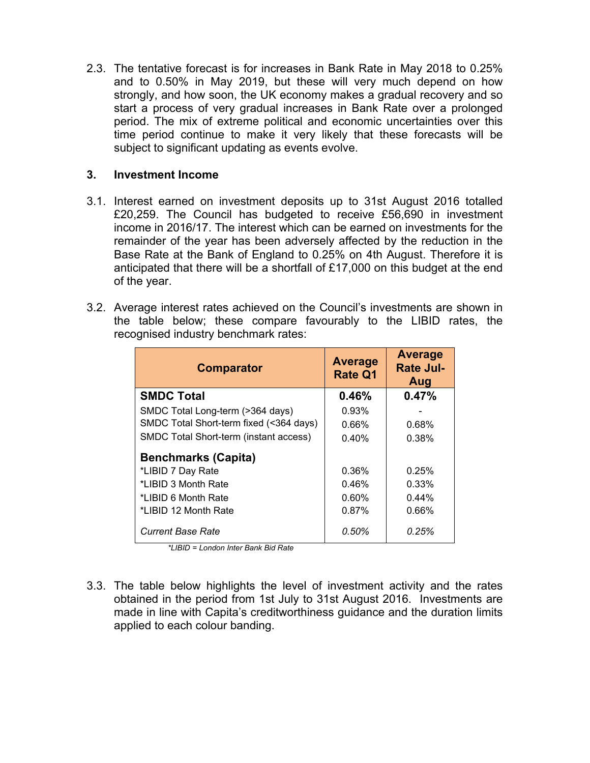2.3. The tentative forecast is for increases in Bank Rate in May 2018 to 0.25% and to 0.50% in May 2019, but these will very much depend on how strongly, and how soon, the UK economy makes a gradual recovery and so start a process of very gradual increases in Bank Rate over a prolonged period. The mix of extreme political and economic uncertainties over this time period continue to make it very likely that these forecasts will be subject to significant updating as events evolve.

### **3. Investment Income**

- 3.1. Interest earned on investment deposits up to 31st August 2016 totalled £20,259. The Council has budgeted to receive £56,690 in investment income in 2016/17. The interest which can be earned on investments for the remainder of the year has been adversely affected by the reduction in the Base Rate at the Bank of England to 0.25% on 4th August. Therefore it is anticipated that there will be a shortfall of £17,000 on this budget at the end of the year.
- 3.2. Average interest rates achieved on the Council's investments are shown in the table below; these compare favourably to the LIBID rates, the recognised industry benchmark rates:

| <b>Comparator</b>                       | <b>Average</b><br><b>Rate Q1</b> | Average<br><b>Rate Jul-</b><br>Aug |
|-----------------------------------------|----------------------------------|------------------------------------|
| <b>SMDC Total</b>                       | 0.46%                            | 0.47%                              |
| SMDC Total Long-term (>364 days)        | 0.93%                            |                                    |
| SMDC Total Short-term fixed (<364 days) | $0.66\%$                         | 0.68%                              |
| SMDC Total Short-term (instant access)  | 0.40%                            | 0.38%                              |
| <b>Benchmarks (Capita)</b>              |                                  |                                    |
| *LIBID 7 Day Rate                       | 0.36%                            | 0.25%                              |
| *LIBID 3 Month Rate                     | 0.46%                            | 0.33%                              |
| *LIBID 6 Month Rate                     | $0.60\%$                         | 0.44%                              |
| *LIBID 12 Month Rate                    | 0.87%                            | 0.66%                              |
| <b>Current Base Rate</b>                | 0.50%                            | 0.25%                              |

 *\*LIBID = London Inter Bank Bid Rate*

3.3. The table below highlights the level of investment activity and the rates obtained in the period from 1st July to 31st August 2016. Investments are made in line with Capita's creditworthiness guidance and the duration limits applied to each colour banding.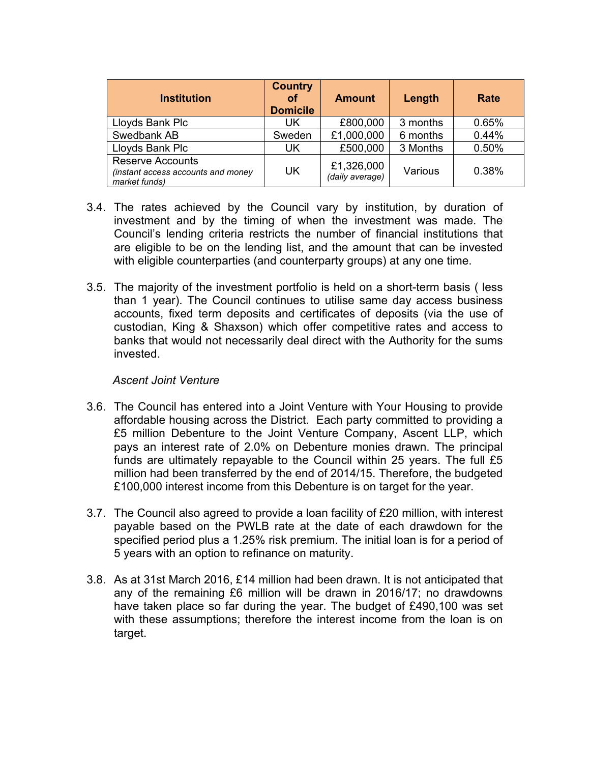| <b>Institution</b>                                                             | <b>Country</b><br>Οf<br><b>Domicile</b> | <b>Amount</b>                 | Length   | Rate  |
|--------------------------------------------------------------------------------|-----------------------------------------|-------------------------------|----------|-------|
| Lloyds Bank Plc                                                                | UK.                                     | £800,000                      | 3 months | 0.65% |
| Swedbank AB                                                                    | Sweden                                  | £1,000,000                    | 6 months | 0.44% |
| Lloyds Bank Plc                                                                | UK                                      | £500,000                      | 3 Months | 0.50% |
| <b>Reserve Accounts</b><br>(instant access accounts and money<br>market funds) | UK                                      | £1,326,000<br>(daily average) | Various  | 0.38% |

- 3.4. The rates achieved by the Council vary by institution, by duration of investment and by the timing of when the investment was made. The Council's lending criteria restricts the number of financial institutions that are eligible to be on the lending list, and the amount that can be invested with eligible counterparties (and counterparty groups) at any one time.
- 3.5. The majority of the investment portfolio is held on a short-term basis ( less than 1 year). The Council continues to utilise same day access business accounts, fixed term deposits and certificates of deposits (via the use of custodian, King & Shaxson) which offer competitive rates and access to banks that would not necessarily deal direct with the Authority for the sums invested.

### *Ascent Joint Venture*

- 3.6. The Council has entered into a Joint Venture with Your Housing to provide affordable housing across the District. Each party committed to providing a £5 million Debenture to the Joint Venture Company, Ascent LLP, which pays an interest rate of 2.0% on Debenture monies drawn. The principal funds are ultimately repayable to the Council within 25 years. The full £5 million had been transferred by the end of 2014/15. Therefore, the budgeted £100,000 interest income from this Debenture is on target for the year.
- 3.7. The Council also agreed to provide a loan facility of £20 million, with interest payable based on the PWLB rate at the date of each drawdown for the specified period plus a 1.25% risk premium. The initial loan is for a period of 5 years with an option to refinance on maturity.
- 3.8. As at 31st March 2016, £14 million had been drawn. It is not anticipated that any of the remaining £6 million will be drawn in 2016/17; no drawdowns have taken place so far during the year. The budget of £490,100 was set with these assumptions; therefore the interest income from the loan is on target.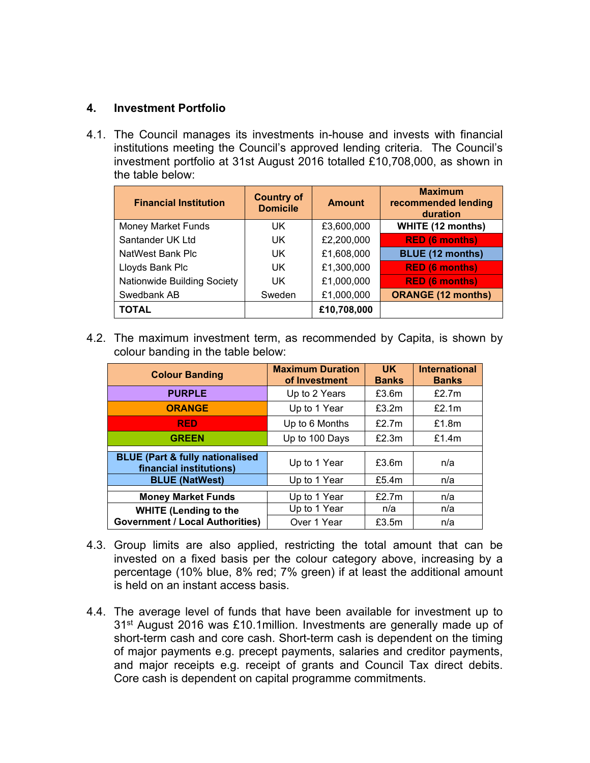### **4. Investment Portfolio**

4.1. The Council manages its investments in-house and invests with financial institutions meeting the Council's approved lending criteria. The Council's investment portfolio at 31st August 2016 totalled £10,708,000, as shown in the table below:

| <b>Financial Institution</b> | <b>Country of</b><br><b>Domicile</b> | <b>Amount</b> | <b>Maximum</b><br>recommended lending<br>duration |
|------------------------------|--------------------------------------|---------------|---------------------------------------------------|
| <b>Money Market Funds</b>    | UK                                   | £3,600,000    | <b>WHITE (12 months)</b>                          |
| Santander UK Ltd             | UK                                   | £2,200,000    | <b>RED (6 months)</b>                             |
| NatWest Bank Plc             | UK                                   | £1,608,000    | <b>BLUE (12 months)</b>                           |
| Lloyds Bank Plc              | UK                                   | £1,300,000    | <b>RED (6 months)</b>                             |
| Nationwide Building Society  | UK                                   | £1,000,000    | <b>RED (6 months)</b>                             |
| Swedbank AB                  | Sweden                               | £1,000,000    | <b>ORANGE (12 months)</b>                         |
| <b>TOTAL</b>                 |                                      | £10,708,000   |                                                   |

4.2. The maximum investment term, as recommended by Capita, is shown by colour banding in the table below:

| <b>Colour Banding</b>                                                  | <b>Maximum Duration</b><br>of Investment | <b>UK</b><br><b>Banks</b> | <b>International</b><br><b>Banks</b> |
|------------------------------------------------------------------------|------------------------------------------|---------------------------|--------------------------------------|
| <b>PURPLE</b>                                                          | Up to 2 Years                            | £3.6m                     | £2.7m                                |
| <b>ORANGE</b>                                                          | Up to 1 Year                             | £3.2m                     | £2.1m                                |
| <b>RED</b>                                                             | Up to 6 Months                           | £2.7 $m$                  | £1.8m                                |
| <b>GREEN</b>                                                           | Up to 100 Days                           | £2.3m                     | £1.4m                                |
| <b>BLUE (Part &amp; fully nationalised)</b><br>financial institutions) | Up to 1 Year                             | £3.6m                     | n/a                                  |
| <b>BLUE (NatWest)</b>                                                  | Up to 1 Year                             | £5.4m                     | n/a                                  |
| <b>Money Market Funds</b>                                              | Up to 1 Year                             | £2.7 $m$                  | n/a                                  |
| <b>WHITE (Lending to the</b>                                           | Up to 1 Year                             | n/a                       | n/a                                  |
| <b>Government / Local Authorities)</b>                                 | Over 1 Year                              | £3.5m                     | n/a                                  |

- 4.3. Group limits are also applied, restricting the total amount that can be invested on a fixed basis per the colour category above, increasing by a percentage (10% blue, 8% red; 7% green) if at least the additional amount is held on an instant access basis.
- 4.4. The average level of funds that have been available for investment up to 31st August 2016 was £10.1million. Investments are generally made up of short-term cash and core cash. Short-term cash is dependent on the timing of major payments e.g. precept payments, salaries and creditor payments, and major receipts e.g. receipt of grants and Council Tax direct debits. Core cash is dependent on capital programme commitments.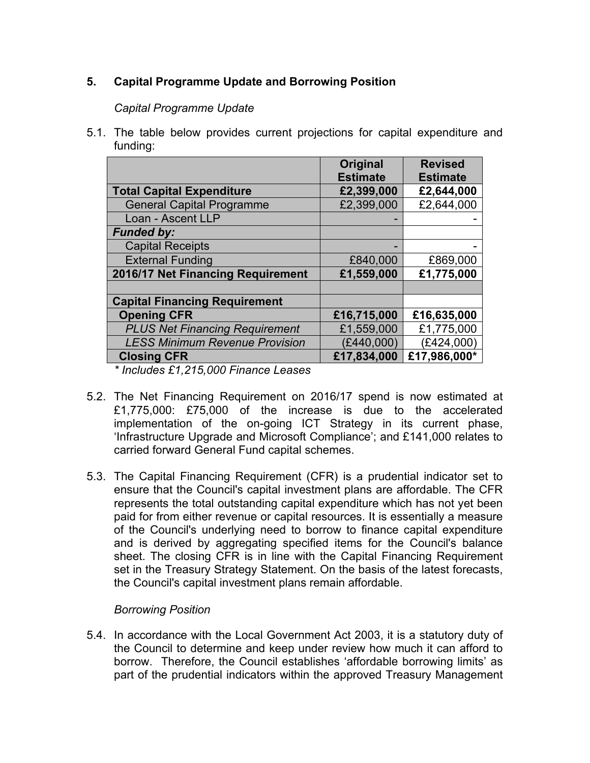## **5. Capital Programme Update and Borrowing Position**

### *Capital Programme Update*

5.1. The table below provides current projections for capital expenditure and funding:

|                                       | <b>Original</b> | <b>Revised</b>  |
|---------------------------------------|-----------------|-----------------|
|                                       | <b>Estimate</b> | <b>Estimate</b> |
| <b>Total Capital Expenditure</b>      | £2,399,000      | £2,644,000      |
| <b>General Capital Programme</b>      | £2,399,000      | £2,644,000      |
| Loan - Ascent LLP                     |                 |                 |
| <b>Funded by:</b>                     |                 |                 |
| <b>Capital Receipts</b>               |                 |                 |
| <b>External Funding</b>               | £840,000        | £869,000        |
| 2016/17 Net Financing Requirement     | £1,559,000      | £1,775,000      |
|                                       |                 |                 |
| <b>Capital Financing Requirement</b>  |                 |                 |
| <b>Opening CFR</b>                    | £16,715,000     | £16,635,000     |
| <b>PLUS Net Financing Requirement</b> | £1,559,000      | £1,775,000      |
| <b>LESS Minimum Revenue Provision</b> | (E440,000)      | (E424,000)      |
| <b>Closing CFR</b>                    | £17,834,000     | £17,986,000*    |

*\* Includes £1,215,000 Finance Leases*

- 5.2. The Net Financing Requirement on 2016/17 spend is now estimated at £1,775,000: £75,000 of the increase is due to the accelerated implementation of the on-going ICT Strategy in its current phase, 'Infrastructure Upgrade and Microsoft Compliance'; and £141,000 relates to carried forward General Fund capital schemes.
- 5.3. The Capital Financing Requirement (CFR) is a prudential indicator set to ensure that the Council's capital investment plans are affordable. The CFR represents the total outstanding capital expenditure which has not yet been paid for from either revenue or capital resources. It is essentially a measure of the Council's underlying need to borrow to finance capital expenditure and is derived by aggregating specified items for the Council's balance sheet. The closing CFR is in line with the Capital Financing Requirement set in the Treasury Strategy Statement. On the basis of the latest forecasts, the Council's capital investment plans remain affordable.

### *Borrowing Position*

5.4. In accordance with the Local Government Act 2003, it is a statutory duty of the Council to determine and keep under review how much it can afford to borrow. Therefore, the Council establishes 'affordable borrowing limits' as part of the prudential indicators within the approved Treasury Management